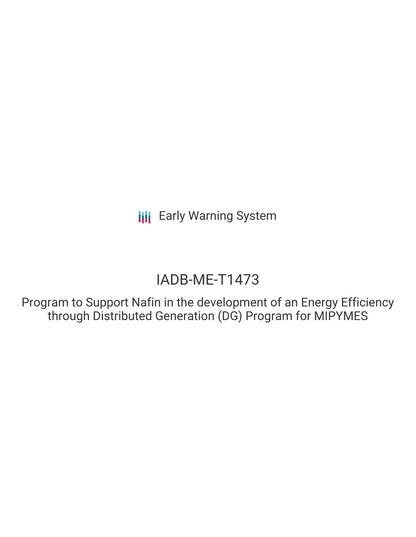# IADB-ME-T1473

Program to Support Nafin in the development of an Energy Efficiency through Distributed Generation (DG) Program for MIPYMES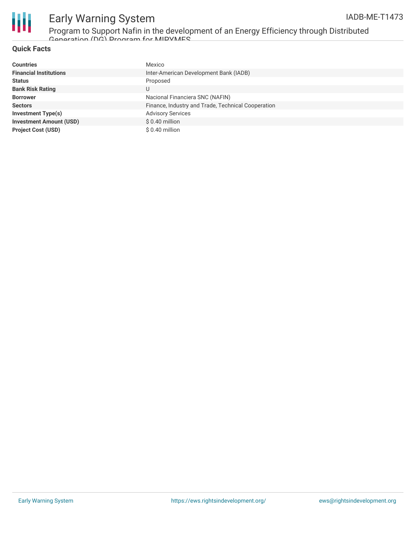

Program to Support Nafin in the development of an Energy Efficiency through Distributed Generation (DG) Program for MIPYMES

### **Quick Facts**

| <b>Countries</b>               | Mexico                                             |
|--------------------------------|----------------------------------------------------|
| <b>Financial Institutions</b>  | Inter-American Development Bank (IADB)             |
| <b>Status</b>                  | Proposed                                           |
| <b>Bank Risk Rating</b>        | U                                                  |
| <b>Borrower</b>                | Nacional Financiera SNC (NAFIN)                    |
| <b>Sectors</b>                 | Finance, Industry and Trade, Technical Cooperation |
| <b>Investment Type(s)</b>      | <b>Advisory Services</b>                           |
| <b>Investment Amount (USD)</b> | $$0.40$ million                                    |
| <b>Project Cost (USD)</b>      | $$0.40$ million                                    |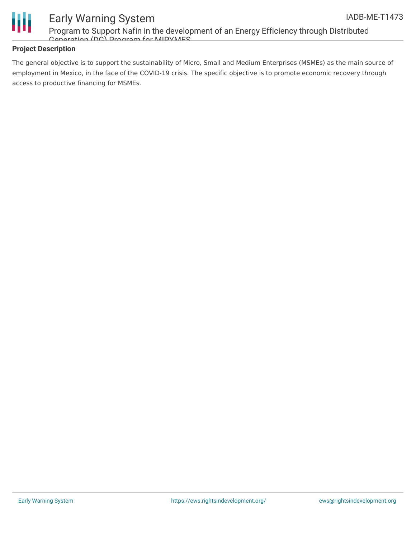

Program to Support Nafin in the development of an Energy Efficiency through Distributed Generation (DG) Program for MIPYMES

### **Project Description**

The general objective is to support the sustainability of Micro, Small and Medium Enterprises (MSMEs) as the main source of employment in Mexico, in the face of the COVID-19 crisis. The specific objective is to promote economic recovery through access to productive financing for MSMEs.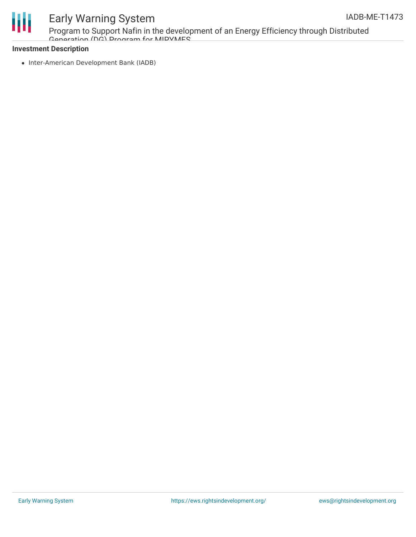

Program to Support Nafin in the development of an Energy Efficiency through Distributed Generation (DG) Program for MIPYMES

### **Investment Description**

• Inter-American Development Bank (IADB)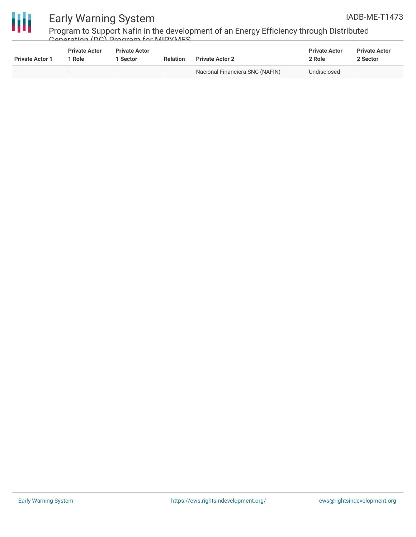



Program to Support Nafin in the development of an Energy Efficiency through Distributed Generation (DG) Program for MIPYMES

| <b>Private Actor 1</b>   | <b>Private Actor</b><br>l Role | <b>Private Actor</b><br>1 Sector | <b>Relation</b> | <b>Private Actor 2</b>          | <b>Private Actor</b><br>2 Role | <b>Private Actor</b><br>2 Sector |
|--------------------------|--------------------------------|----------------------------------|-----------------|---------------------------------|--------------------------------|----------------------------------|
| $\overline{\phantom{0}}$ |                                |                                  |                 | Nacional Financiera SNC (NAFIN) | Undisclosed                    | $\overline{\phantom{0}}$         |